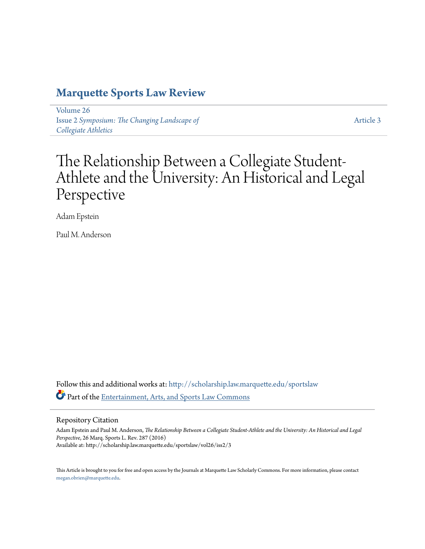# **[Marquette Sports Law Review](http://scholarship.law.marquette.edu/sportslaw?utm_source=scholarship.law.marquette.edu%2Fsportslaw%2Fvol26%2Fiss2%2F3&utm_medium=PDF&utm_campaign=PDFCoverPages)**

[Volume 26](http://scholarship.law.marquette.edu/sportslaw/vol26?utm_source=scholarship.law.marquette.edu%2Fsportslaw%2Fvol26%2Fiss2%2F3&utm_medium=PDF&utm_campaign=PDFCoverPages) Issue 2 *[Symposium: The Changing Landscape of](http://scholarship.law.marquette.edu/sportslaw/vol26/iss2?utm_source=scholarship.law.marquette.edu%2Fsportslaw%2Fvol26%2Fiss2%2F3&utm_medium=PDF&utm_campaign=PDFCoverPages) [Collegiate Athletics](http://scholarship.law.marquette.edu/sportslaw/vol26/iss2?utm_source=scholarship.law.marquette.edu%2Fsportslaw%2Fvol26%2Fiss2%2F3&utm_medium=PDF&utm_campaign=PDFCoverPages)*

[Article 3](http://scholarship.law.marquette.edu/sportslaw/vol26/iss2/3?utm_source=scholarship.law.marquette.edu%2Fsportslaw%2Fvol26%2Fiss2%2F3&utm_medium=PDF&utm_campaign=PDFCoverPages)

# The Relationship Between a Collegiate Student-Athlete and the University: An Historical and Legal Perspective

Adam Epstein

Paul M. Anderson

Follow this and additional works at: [http://scholarship.law.marquette.edu/sportslaw](http://scholarship.law.marquette.edu/sportslaw?utm_source=scholarship.law.marquette.edu%2Fsportslaw%2Fvol26%2Fiss2%2F3&utm_medium=PDF&utm_campaign=PDFCoverPages) Part of the [Entertainment, Arts, and Sports Law Commons](http://network.bepress.com/hgg/discipline/893?utm_source=scholarship.law.marquette.edu%2Fsportslaw%2Fvol26%2Fiss2%2F3&utm_medium=PDF&utm_campaign=PDFCoverPages)

Repository Citation

Adam Epstein and Paul M. Anderson, *The Relationship Between a Collegiate Student-Athlete and the University: An Historical and Legal Perspective*, 26 Marq. Sports L. Rev. 287 (2016) Available at: http://scholarship.law.marquette.edu/sportslaw/vol26/iss2/3

This Article is brought to you for free and open access by the Journals at Marquette Law Scholarly Commons. For more information, please contact [megan.obrien@marquette.edu.](mailto:megan.obrien@marquette.edu)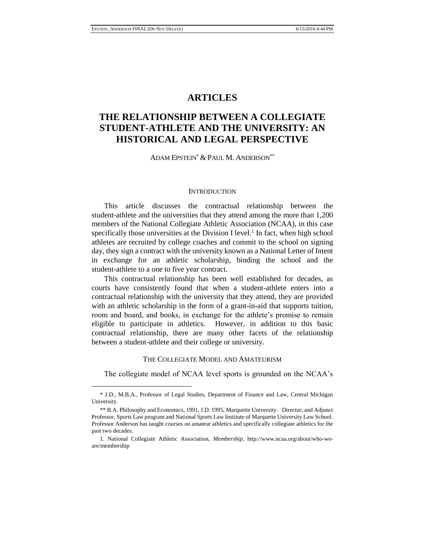# **ARTICLES**

# **THE RELATIONSHIP BETWEEN A COLLEGIATE STUDENT-ATHLETE AND THE UNIVERSITY: AN HISTORICAL AND LEGAL PERSPECTIVE**

## ADAM EPSTEIN\* & PAUL M. ANDERSON\*\*

#### **INTRODUCTION**

This article discusses the contractual relationship between the student-athlete and the universities that they attend among the more than 1,200 members of the National Collegiate Athletic Association (NCAA), in this case specifically those universities at the Division I level.<sup>1</sup> In fact, when high school athletes are recruited by college coaches and commit to the school on signing day, they sign a contract with the university known as a National Letter of Intent in exchange for an athletic scholarship, binding the school and the student-athlete to a one to five year contract.

This contractual relationship has been well established for decades, as courts have consistently found that when a student-athlete enters into a contractual relationship with the university that they attend, they are provided with an athletic scholarship in the form of a grant-in-aid that supports tuition, room and board, and books, in exchange for the athlete's promise to remain eligible to participate in athletics. However, in addition to this basic contractual relationship, there are many other facets of the relationship between a student-athlete and their college or university.

#### THE COLLEGIATE MODEL AND AMATEURISM

The collegiate model of NCAA level sports is grounded on the NCAA's

<sup>\*</sup> J.D., M.B.A., Professor of Legal Studies, Department of Finance and Law, Central Michigan University.

<sup>\*\*</sup> B.A. Philosophy and Economics, 1991, J.D. 1995, Marquette University. Director, and Adjunct Professor, Sports Law program and National Sports Law Institute of Marquette University Law School. Professor Anderson has taught courses on amateur athletics and specifically collegiate athletics for the past two decades.

<sup>1.</sup> National Collegiate Athletic Association, *Membership*, http://www.ncaa.org/about/who-weare/membership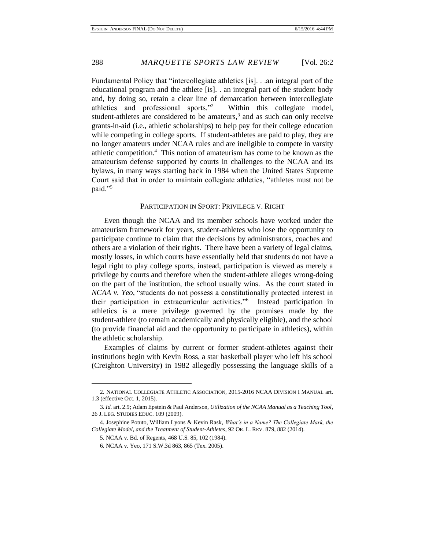Fundamental Policy that "intercollegiate athletics [is]. . .an integral part of the educational program and the athlete [is]. . an integral part of the student body and, by doing so, retain a clear line of demarcation between intercollegiate athletics and professional sports."<sup>2</sup> Within this collegiate model, student-athletes are considered to be amateurs,<sup>3</sup> and as such can only receive grants-in-aid (i.e., athletic scholarships) to help pay for their college education while competing in college sports. If student-athletes are paid to play, they are no longer amateurs under NCAA rules and are ineligible to compete in varsity athletic competition.<sup>4</sup> This notion of amateurism has come to be known as the amateurism defense supported by courts in challenges to the NCAA and its bylaws, in many ways starting back in 1984 when the United States Supreme Court said that in order to maintain collegiate athletics, "athletes must not be paid."<sup>5</sup>

#### PARTICIPATION IN SPORT: PRIVILEGE V. RIGHT

Even though the NCAA and its member schools have worked under the amateurism framework for years, student-athletes who lose the opportunity to participate continue to claim that the decisions by administrators, coaches and others are a violation of their rights. There have been a variety of legal claims, mostly losses, in which courts have essentially held that students do not have a legal right to play college sports, instead, participation is viewed as merely a privilege by courts and therefore when the student-athlete alleges wrong-doing on the part of the institution, the school usually wins. As the court stated in *NCAA v. Yeo*, "students do not possess a constitutionally protected interest in their participation in extracurricular activities."<sup>6</sup> Instead participation in athletics is a mere privilege governed by the promises made by the student-athlete (to remain academically and physically eligible), and the school (to provide financial aid and the opportunity to participate in athletics), within the athletic scholarship.

Examples of claims by current or former student-athletes against their institutions begin with Kevin Ross, a star basketball player who left his school (Creighton University) in 1982 allegedly possessing the language skills of a

<sup>2.</sup> NATIONAL COLLEGIATE ATHLETIC ASSOCIATION, 2015-2016 NCAA DIVISION I MANUAL art. 1.3 (effective Oct. 1, 2015).

<sup>3.</sup> *Id.* art. 2.9; Adam Epstein & Paul Anderson, *Utilization of the NCAA Manual as a Teaching Tool*, 26 J. LEG. STUDIES EDUC. 109 (2009).

<sup>4.</sup> Josephine Potuto, William Lyons & Kevin Rask, *What's in a Name? The Collegiate Mark, the Collegiate Model, and the Treatment of Student-Athletes*, 92 OR. L. REV*.* 879, 882 (2014).

<sup>5.</sup> NCAA v. Bd. of Regents, 468 U.S. 85, 102 (1984).

<sup>6.</sup> NCAA v. Yeo, 171 S.W.3d 863, 865 (Tex. 2005).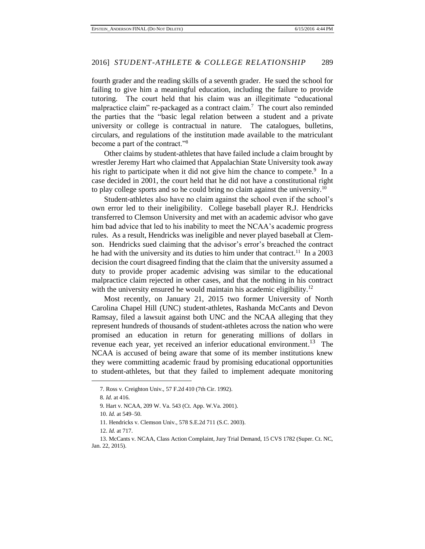fourth grader and the reading skills of a seventh grader. He sued the school for failing to give him a meaningful education, including the failure to provide tutoring. The court held that his claim was an illegitimate "educational malpractice claim" re-packaged as a contract claim.<sup>7</sup> The court also reminded the parties that the "basic legal relation between a student and a private university or college is contractual in nature. The catalogues, bulletins, circulars, and regulations of the institution made available to the matriculant become a part of the contract."<sup>8</sup>

Other claims by student-athletes that have failed include a claim brought by wrestler Jeremy Hart who claimed that Appalachian State University took away his right to participate when it did not give him the chance to compete.<sup>9</sup> In a case decided in 2001, the court held that he did not have a constitutional right to play college sports and so he could bring no claim against the university.<sup>10</sup>

Student-athletes also have no claim against the school even if the school's own error led to their ineligibility. College baseball player R.J. Hendricks transferred to Clemson University and met with an academic advisor who gave him bad advice that led to his inability to meet the NCAA's academic progress rules. As a result, Hendricks was ineligible and never played baseball at Clemson. Hendricks sued claiming that the advisor's error's breached the contract he had with the university and its duties to him under that contract.<sup>11</sup> In a 2003 decision the court disagreed finding that the claim that the university assumed a duty to provide proper academic advising was similar to the educational malpractice claim rejected in other cases, and that the nothing in his contract with the university ensured he would maintain his academic eligibility.<sup>12</sup>

Most recently, on January 21, 2015 two former University of North Carolina Chapel Hill (UNC) student-athletes, Rashanda McCants and Devon Ramsay, filed a lawsuit against both UNC and the NCAA alleging that they represent hundreds of thousands of student-athletes across the nation who were promised an education in return for generating millions of dollars in revenue each year, yet received an inferior educational environment.<sup>13</sup> The NCAA is accused of being aware that some of its member institutions knew they were committing academic fraud by promising educational opportunities to student-athletes, but that they failed to implement adequate monitoring

<sup>7.</sup> Ross v. Creighton Univ., 57 F.2d 410 (7th Cir. 1992).

<sup>8.</sup> *Id.* at 416.

<sup>9.</sup> Hart v. NCAA, 209 W. Va. 543 (Ct. App. W.Va. 2001).

<sup>10.</sup> *Id.* at 549–50.

<sup>11.</sup> Hendricks v. Clemson Univ., 578 S.E.2d 711 (S.C. 2003).

<sup>12.</sup> *Id.* at 717.

<sup>13.</sup> McCants v. NCAA, Class Action Complaint, Jury Trial Demand, 15 CVS 1782 (Super. Ct. NC, Jan. 22, 2015).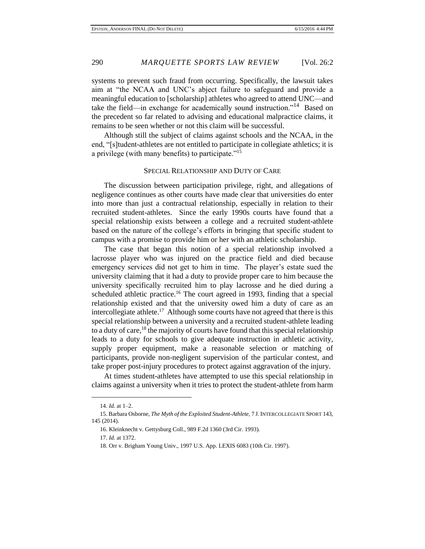systems to prevent such fraud from occurring. Specifically, the lawsuit takes aim at "the NCAA and UNC's abject failure to safeguard and provide a meaningful education to [scholarship] athletes who agreed to attend UNC—and take the field—in exchange for academically sound instruction."<sup>14</sup> Based on the precedent so far related to advising and educational malpractice claims, it remains to be seen whether or not this claim will be successful.

Although still the subject of claims against schools and the NCAA, in the end, "[s]tudent-athletes are not entitled to participate in collegiate athletics; it is a privilege (with many benefits) to participate."<sup>15</sup>

### SPECIAL RELATIONSHIP AND DUTY OF CARE

The discussion between participation privilege, right, and allegations of negligence continues as other courts have made clear that universities do enter into more than just a contractual relationship, especially in relation to their recruited student-athletes. Since the early 1990s courts have found that a special relationship exists between a college and a recruited student-athlete based on the nature of the college's efforts in bringing that specific student to campus with a promise to provide him or her with an athletic scholarship.

The case that began this notion of a special relationship involved a lacrosse player who was injured on the practice field and died because emergency services did not get to him in time. The player's estate sued the university claiming that it had a duty to provide proper care to him because the university specifically recruited him to play lacrosse and he died during a scheduled athletic practice.<sup>16</sup> The court agreed in 1993, finding that a special relationship existed and that the university owed him a duty of care as an intercollegiate athlete.<sup>17</sup> Although some courts have not agreed that there is this special relationship between a university and a recruited student-athlete leading to a duty of care,  $^{18}$  the majority of courts have found that this special relationship leads to a duty for schools to give adequate instruction in athletic activity, supply proper equipment, make a reasonable selection or matching of participants, provide non-negligent supervision of the particular contest, and take proper post-injury procedures to protect against aggravation of the injury.

At times student-athletes have attempted to use this special relationship in claims against a university when it tries to protect the student-athlete from harm

<sup>14.</sup> *Id.* at 1–2.

<sup>15.</sup> Barbara Osborne, *The Myth of the Exploited Student-Athlete*, 7 J. INTERCOLLEGIATE SPORT 143, 145 (2014).

<sup>16.</sup> Kleinknecht v. Gettysburg Coll., 989 F.2d 1360 (3rd Cir. 1993).

<sup>17.</sup> *Id.* at 1372.

<sup>18.</sup> Orr v. Brigham Young Univ., 1997 U.S. App. LEXIS 6083 (10th Cir. 1997).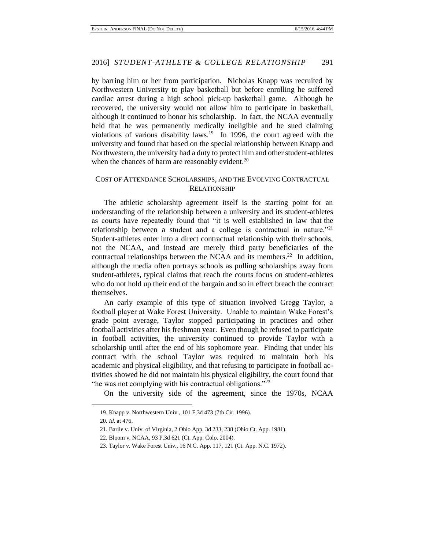by barring him or her from participation. Nicholas Knapp was recruited by Northwestern University to play basketball but before enrolling he suffered cardiac arrest during a high school pick-up basketball game. Although he recovered, the university would not allow him to participate in basketball, although it continued to honor his scholarship. In fact, the NCAA eventually held that he was permanently medically ineligible and he sued claiming violations of various disability laws.<sup>19</sup> In 1996, the court agreed with the university and found that based on the special relationship between Knapp and Northwestern, the university had a duty to protect him and other student-athletes when the chances of harm are reasonably evident. $20$ 

## COST OF ATTENDANCE SCHOLARSHIPS, AND THE EVOLVING CONTRACTUAL RELATIONSHIP

The athletic scholarship agreement itself is the starting point for an understanding of the relationship between a university and its student-athletes as courts have repeatedly found that "it is well established in law that the relationship between a student and a college is contractual in nature.<sup>"21</sup> Student-athletes enter into a direct contractual relationship with their schools, not the NCAA, and instead are merely third party beneficiaries of the contractual relationships between the NCAA and its members.<sup>22</sup> In addition, although the media often portrays schools as pulling scholarships away from student-athletes, typical claims that reach the courts focus on student-athletes who do not hold up their end of the bargain and so in effect breach the contract themselves.

An early example of this type of situation involved Gregg Taylor, a football player at Wake Forest University. Unable to maintain Wake Forest's grade point average, Taylor stopped participating in practices and other football activities after his freshman year. Even though he refused to participate in football activities, the university continued to provide Taylor with a scholarship until after the end of his sophomore year. Finding that under his contract with the school Taylor was required to maintain both his academic and physical eligibility, and that refusing to participate in football activities showed he did not maintain his physical eligibility, the court found that "he was not complying with his contractual obligations."<sup>23</sup>

On the university side of the agreement, since the 1970s, NCAA

 $\overline{a}$ 

22. Bloom v. NCAA, 93 P.3d 621 (Ct. App. Colo. 2004).

<sup>19.</sup> Knapp v. Northwestern Univ., 101 F.3d 473 (7th Cir. 1996).

<sup>20.</sup> *Id.* at 476.

<sup>21.</sup> Barile v. Univ. of Virginia, 2 Ohio App. 3d 233, 238 (Ohio Ct. App. 1981).

<sup>23.</sup> Taylor v. Wake Forest Univ., 16 N.C. App. 117, 121 (Ct. App. N.C. 1972).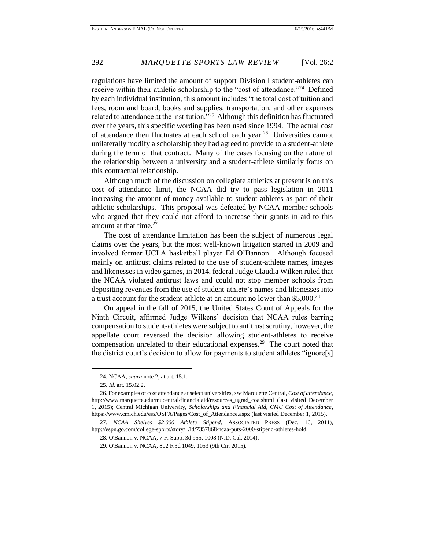regulations have limited the amount of support Division I student-athletes can receive within their athletic scholarship to the "cost of attendance."<sup>24</sup> Defined by each individual institution, this amount includes "the total cost of tuition and fees, room and board, books and supplies, transportation, and other expenses related to attendance at the institution."<sup>25</sup> Although this definition has fluctuated over the years, this specific wording has been used since 1994. The actual cost of attendance then fluctuates at each school each year.<sup>26</sup> Universities cannot unilaterally modify a scholarship they had agreed to provide to a student-athlete during the term of that contract. Many of the cases focusing on the nature of the relationship between a university and a student-athlete similarly focus on this contractual relationship.

Although much of the discussion on collegiate athletics at present is on this cost of attendance limit, the NCAA did try to pass legislation in 2011 increasing the amount of money available to student-athletes as part of their athletic scholarships. This proposal was defeated by NCAA member schools who argued that they could not afford to increase their grants in aid to this amount at that time.<sup>27</sup>

The cost of attendance limitation has been the subject of numerous legal claims over the years, but the most well-known litigation started in 2009 and involved former UCLA basketball player Ed O'Bannon. Although focused mainly on antitrust claims related to the use of student-athlete names, images and likenesses in video games, in 2014, federal Judge Claudia Wilken ruled that the NCAA violated antitrust laws and could not stop member schools from depositing revenues from the use of student-athlete's names and likenesses into a trust account for the student-athlete at an amount no lower than \$5,000.<sup>28</sup>

On appeal in the fall of 2015, the United States Court of Appeals for the Ninth Circuit, affirmed Judge Wilkens' decision that NCAA rules barring compensation to student-athletes were subject to antitrust scrutiny, however, the appellate court reversed the decision allowing student-athletes to receive compensation unrelated to their educational expenses.<sup>29</sup> The court noted that the district court's decision to allow for payments to student athletes "ignore[s]

<sup>24.</sup> NCAA, *supra* note 2, at art. 15.1.

<sup>25.</sup> *Id.* art. 15.02.2.

<sup>26.</sup> For examples of cost attendance at select universities, *see* Marquette Central, *Cost of attendance*, [http://www.marquette.edu/mucentral/financialaid/resources\\_ugrad\\_coa.shtml](http://www.marquette.edu/mucentral/financialaid/resources_ugrad_coa.shtml) (last visited December 1, 2015); Central Michigan University, *Scholarships and Financial Aid, CMU Cost of Attendance*, [https://www.cmich.edu/ess/OSFA/Pages/Cost\\_of\\_Attendance.aspx](https://www.cmich.edu/ess/OSFA/Pages/Cost_of_Attendance.aspx) (last visited December 1, 2015).

<sup>27.</sup> *NCAA Shelves \$2,000 Athlete Stipend*, ASSOCIATED PRESS (Dec. 16, 2011), http://espn.go.com/college-sports/story/\_/id/7357868/ncaa-puts-2000-stipend-athletes-hold.

<sup>28.</sup> O'Bannon v. NCAA, 7 F. Supp. 3d 955, 1008 (N.D. Cal. 2014).

<sup>29.</sup> O'Bannon v. NCAA, 802 F.3d 1049, 1053 (9th Cir. 2015).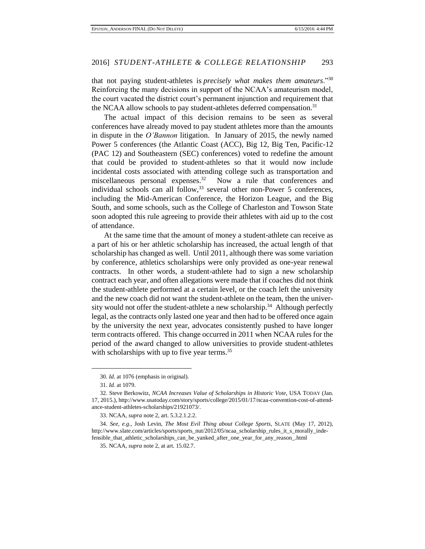that not paying student-athletes is *precisely what makes them amateurs*."<sup>30</sup> Reinforcing the many decisions in support of the NCAA's amateurism model, the court vacated the district court's permanent injunction and requirement that the NCAA allow schools to pay student-athletes deferred compensation.<sup>31</sup>

The actual impact of this decision remains to be seen as several conferences have already moved to pay student athletes more than the amounts in dispute in the *O'Bannon* litigation. In January of 2015, the newly named Power 5 conferences (the Atlantic Coast (ACC), Big 12, Big Ten, Pacific-12 (PAC 12) and Southeastern (SEC) conferences) voted to redefine the amount that could be provided to student-athletes so that it would now include incidental costs associated with attending college such as transportation and miscellaneous personal expenses.<sup>32</sup> Now a rule that conferences and individual schools can all follow,  $33$  several other non-Power 5 conferences, including the Mid-American Conference, the Horizon League, and the Big South, and some schools, such as the College of Charleston and Towson State soon adopted this rule agreeing to provide their athletes with aid up to the cost of attendance.

At the same time that the amount of money a student-athlete can receive as a part of his or her athletic scholarship has increased, the actual length of that scholarship has changed as well. Until 2011, although there was some variation by conference, athletics scholarships were only provided as one-year renewal contracts. In other words, a student-athlete had to sign a new scholarship contract each year, and often allegations were made that if coaches did not think the student-athlete performed at a certain level, or the coach left the university and the new coach did not want the student-athlete on the team, then the university would not offer the student-athlete a new scholarship.<sup>34</sup> Although perfectly legal, as the contracts only lasted one year and then had to be offered once again by the university the next year, advocates consistently pushed to have longer term contracts offered. This change occurred in 2011 when NCAA rules for the period of the award changed to allow universities to provide student-athletes with scholarships with up to five year terms.<sup>35</sup>

<sup>30.</sup> *Id.* at 1076 (emphasis in original).

<sup>31.</sup> *Id.* at 1079.

<sup>32.</sup> Steve Berkowitz, *NCAA Increases Value of Scholarships in Historic Vote*, USA TODAY (Jan. 17, 2015.), http://www.usatoday.com/story/sports/college/2015/01/17/ncaa-convention-cost-of-attendance-student-athletes-scholarships/21921073/.

<sup>33.</sup> NCAA, *supra* note 2, art. 5.3.2.1.2.2.

<sup>34.</sup> *See, e.g*., Josh Levin, *The Most Evil Thing about College Sports*, SLATE (May 17, 2012), http://www.slate.com/articles/sports/sports\_nut/2012/05/ncaa\_scholarship\_rules\_it\_s\_morally\_indefensible\_that\_athletic\_scholarships\_can\_be\_yanked\_after\_one\_year\_for\_any\_reason\_.html

<sup>35.</sup> NCAA, *supra* note 2, at art. 15.02.7.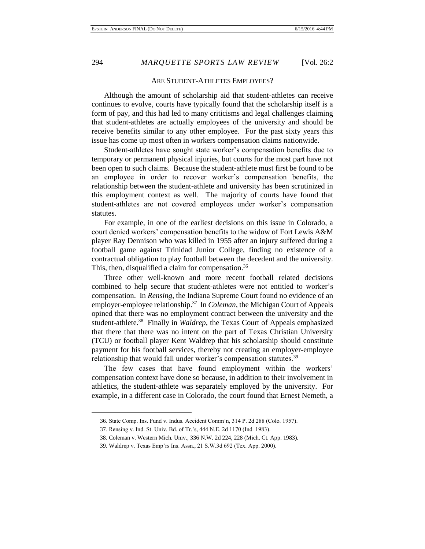#### ARE STUDENT-ATHLETES EMPLOYEES?

Although the amount of scholarship aid that student-athletes can receive continues to evolve, courts have typically found that the scholarship itself is a form of pay, and this had led to many criticisms and legal challenges claiming that student-athletes are actually employees of the university and should be receive benefits similar to any other employee. For the past sixty years this issue has come up most often in workers compensation claims nationwide.

Student-athletes have sought state worker's compensation benefits due to temporary or permanent physical injuries, but courts for the most part have not been open to such claims. Because the student-athlete must first be found to be an employee in order to recover worker's compensation benefits, the relationship between the student-athlete and university has been scrutinized in this employment context as well. The majority of courts have found that student-athletes are not covered employees under worker's compensation statutes.

For example, in one of the earliest decisions on this issue in Colorado, a court denied workers' compensation benefits to the widow of Fort Lewis A&M player Ray Dennison who was killed in 1955 after an injury suffered during a football game against Trinidad Junior College, finding no existence of a contractual obligation to play football between the decedent and the university. This, then, disqualified a claim for compensation.<sup>36</sup>

Three other well-known and more recent football related decisions combined to help secure that student-athletes were not entitled to worker's compensation. In *Rensing*, the Indiana Supreme Court found no evidence of an employer-employee relationship.<sup>37</sup> In *Coleman*, the Michigan Court of Appeals opined that there was no employment contract between the university and the student-athlete.<sup>38</sup> Finally in *Waldrep*, the Texas Court of Appeals emphasized that there that there was no intent on the part of Texas Christian University (TCU) or football player Kent Waldrep that his scholarship should constitute payment for his football services, thereby not creating an employer-employee relationship that would fall under worker's compensation statutes.<sup>39</sup>

The few cases that have found employment within the workers' compensation context have done so because, in addition to their involvement in athletics, the student-athlete was separately employed by the university. For example, in a different case in Colorado, the court found that Ernest Nemeth, a

<sup>36.</sup> State Comp. Ins. Fund v. Indus. Accident Comm'n, 314 P. 2d 288 (Colo. 1957).

<sup>37.</sup> Rensing v. Ind. St. Univ. Bd. of Tr.'s, 444 N.E. 2d 1170 (Ind. 1983).

<sup>38.</sup> Coleman v. Western Mich. Univ., 336 N.W. 2d 224, 228 (Mich. Ct. App. 1983).

<sup>39.</sup> Waldrep v. Texas Emp'rs Ins. Assn., 21 S.W.3d 692 (Tex. App. 2000).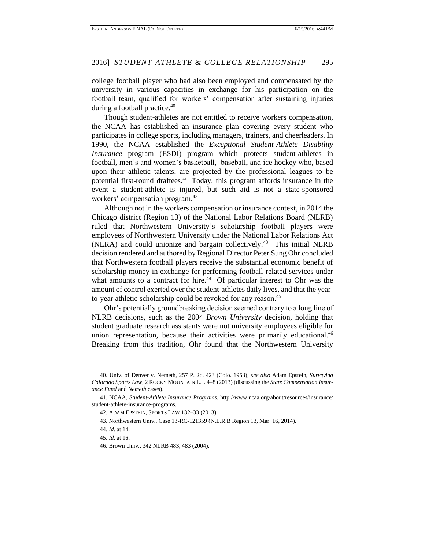college football player who had also been employed and compensated by the university in various capacities in exchange for his participation on the football team, qualified for workers' compensation after sustaining injuries during a football practice.<sup>40</sup>

Though student-athletes are not entitled to receive workers compensation, the NCAA has established an insurance plan covering every student who participates in college sports, including managers, trainers, and cheerleaders. In 1990, the NCAA established the *Exceptional Student-Athlete Disability Insurance* program (ESDI) program which protects student-athletes in football, men's and women's basketball, baseball, and ice hockey who, based upon their athletic talents, are projected by the professional leagues to be potential first-round draftees.<sup>41</sup> Today, this program affords insurance in the event a student-athlete is injured, but such aid is not a state-sponsored workers' compensation program.<sup>42</sup>

Although not in the workers compensation or insurance context, in 2014 the Chicago district (Region 13) of the National Labor Relations Board (NLRB) ruled that Northwestern University's scholarship football players were employees of Northwestern University under the National Labor Relations Act (NLRA) and could unionize and bargain collectively.<sup>43</sup> This initial NLRB decision rendered and authored by Regional Director Peter Sung Ohr concluded that Northwestern football players receive the substantial economic benefit of scholarship money in exchange for performing football-related services under what amounts to a contract for hire.<sup>44</sup> Of particular interest to Ohr was the amount of control exerted over the student-athletes daily lives, and that the yearto-year athletic scholarship could be revoked for any reason.<sup>45</sup>

Ohr's potentially groundbreaking decision seemed contrary to a long line of NLRB decisions, such as the 2004 *Brown University* decision, holding that student graduate research assistants were not university employees eligible for union representation, because their activities were primarily educational.<sup>46</sup> Breaking from this tradition, Ohr found that the Northwestern University

<sup>40.</sup> Univ. of Denver v. Nemeth, 257 P. 2d. 423 (Colo. 1953); *see also* Adam Epstein, *Surveying Colorado Sports Law*, 2 ROCKY MOUNTAIN L.J. 4–8 (2013) (discussing the *State Compensation Insurance Fund* and *Nemeth* cases).

<sup>41.</sup> NCAA, *Student-Athlete Insurance Programs*, http://www.ncaa.org/about/resources/insurance/ student-athlete-insurance-programs.

<sup>42.</sup> ADAM EPSTEIN, SPORTS LAW 132–33 (2013).

<sup>43.</sup> Northwestern Univ., Case 13-RC-121359 (N.L.R.B Region 13, Mar. 16, 2014).

<sup>44.</sup> *Id.* at 14.

<sup>45.</sup> *Id.* at 16.

<sup>46.</sup> Brown Univ., 342 NLRB 483, 483 (2004).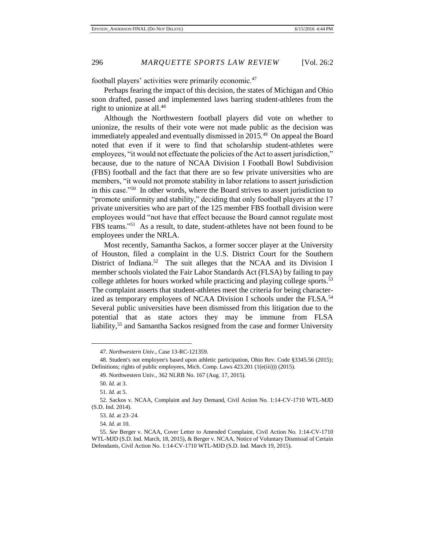football players' activities were primarily economic.<sup>47</sup>

Perhaps fearing the impact of this decision, the states of Michigan and Ohio soon drafted, passed and implemented laws barring student-athletes from the right to unionize at all.<sup>48</sup>

Although the Northwestern football players did vote on whether to unionize, the results of their vote were not made public as the decision was immediately appealed and eventually dismissed in 2015.<sup>49</sup> On appeal the Board noted that even if it were to find that scholarship student-athletes were employees, "it would not effectuate the policies of the Act to assert jurisdiction," because, due to the nature of NCAA Division I Football Bowl Subdivision (FBS) football and the fact that there are so few private universities who are members, "it would not promote stability in labor relations to assert jurisdiction in this case."<sup>50</sup> In other words, where the Board strives to assert jurisdiction to "promote uniformity and stability," deciding that only football players at the 17 private universities who are part of the 125 member FBS football division were employees would "not have that effect because the Board cannot regulate most FBS teams."<sup>51</sup> As a result, to date, student-athletes have not been found to be employees under the NRLA.

Most recently, Samantha Sackos, a former soccer player at the University of Houston, filed a complaint in the U.S. District Court for the Southern District of Indiana.<sup>52</sup> The suit alleges that the NCAA and its Division I member schools violated the Fair Labor Standards Act (FLSA) by failing to pay college athletes for hours worked while practicing and playing college sports.<sup>53</sup> The complaint asserts that student-athletes meet the criteria for being characterized as temporary employees of NCAA Division I schools under the FLSA.<sup>54</sup> Several public universities have been dismissed from this litigation due to the potential that as state actors they may be immune from FLSA liability,<sup>55</sup> and Samantha Sackos resigned from the case and former University

<sup>47.</sup> *Northwestern Univ*., Case 13-RC-121359.

<sup>48.</sup> Student's not employee's based upon athletic participation, Ohio Rev. Code §3345.56 (2015); Definitions; rights of public employees, Mich. Comp. Laws 423.201 (1(e(iii))) (2015).

<sup>49.</sup> Northwestern Univ., 362 NLRB No. 167 (Aug. 17, 2015).

<sup>50.</sup> *Id.* at 3.

<sup>51.</sup> *Id.* at 5.

<sup>52.</sup> Sackos v. NCAA, Complaint and Jury Demand, Civil Action No. 1:14-CV-1710 WTL-MJD (S.D. Ind. 2014).

<sup>53.</sup> *Id.* at 23–24.

<sup>54.</sup> *Id.* at 10.

<sup>55.</sup> *See* Berger v. NCAA, Cover Letter to Amended Complaint, Civil Action No. 1:14-CV-1710 WTL-MJD (S.D. Ind. March, 18, 2015), & Berger v. NCAA, Notice of Voluntary Dismissal of Certain Defendants, Civil Action No. 1:14-CV-1710 WTL-MJD (S.D. Ind. March 19, 2015).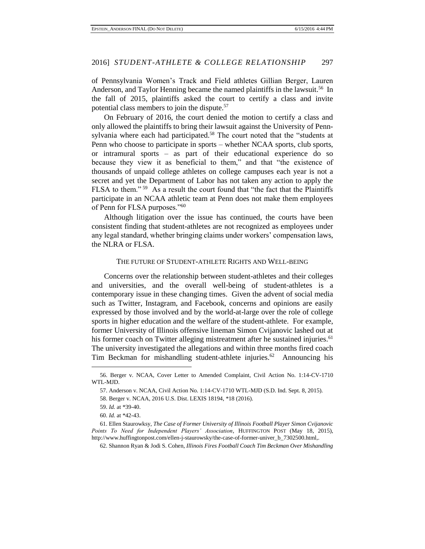of Pennsylvania Women's Track and Field athletes Gillian Berger, Lauren Anderson, and Taylor Henning became the named plaintiffs in the lawsuit.<sup>56</sup> In the fall of 2015, plaintiffs asked the court to certify a class and invite potential class members to join the dispute.<sup>57</sup>

On February of 2016, the court denied the motion to certify a class and only allowed the plaintiffs to bring their lawsuit against the University of Pennsylvania where each had participated.<sup>58</sup> The court noted that the "students at Penn who choose to participate in sports – whether NCAA sports, club sports, or intramural sports – as part of their educational experience do so because they view it as beneficial to them," and that "the existence of thousands of unpaid college athletes on college campuses each year is not a secret and yet the Department of Labor has not taken any action to apply the FLSA to them." <sup>59</sup> As a result the court found that "the fact that the Plaintiffs participate in an NCAA athletic team at Penn does not make them employees of Penn for FLSA purposes."<sup>60</sup>

Although litigation over the issue has continued, the courts have been consistent finding that student-athletes are not recognized as employees under any legal standard, whether bringing claims under workers' compensation laws, the NLRA or FLSA.

#### THE FUTURE OF STUDENT-ATHLETE RIGHTS AND WELL-BEING

Concerns over the relationship between student-athletes and their colleges and universities, and the overall well-being of student-athletes is a contemporary issue in these changing times. Given the advent of social media such as Twitter, Instagram, and Facebook, concerns and opinions are easily expressed by those involved and by the world-at-large over the role of college sports in higher education and the welfare of the student-athlete. For example, former University of Illinois offensive lineman Simon Cvijanovic lashed out at his former coach on Twitter alleging mistreatment after he sustained injuries.<sup>61</sup> The university investigated the allegations and within three months fired coach Tim Beckman for mishandling student-athlete injuries.<sup>62</sup> Announcing his

58. Berger v. NCAA, 2016 U.S. Dist. LEXIS 18194, \*18 (2016).

 $\overline{a}$ 

62[. Shannon Ryan](http://www.chicagotribune.com/chi-shannon-ryan-staff.html#nt=byline) & [Jodi S. Cohen](http://www.chicagotribune.com/chi-jodi-cohen-staff.html#nt=byline)*, Illinois Fires Football Coach Tim Beckman Over Mishandling* 

<sup>56.</sup> Berger v. NCAA, Cover Letter to Amended Complaint, Civil Action No. 1:14-CV-1710 WTL-MJD.

<sup>57.</sup> Anderson v. NCAA, Civil Action No. 1:14-CV-1710 WTL-MJD (S.D. Ind. Sept. 8, 2015).

<sup>59.</sup> *Id.* at \*39-40.

<sup>60.</sup> *Id.* at \*42-43.

<sup>61.</sup> Ellen Staurowksy, *The Case of Former University of Illinois Football Player Simon Cvijanovic Points To Need for Independent Players' Association*, HUFFINGTON POST (May 18, 2015), http://www.huffingtonpost.com/ellen-j-staurowsky/the-case-of-former-univer\_b\_7302500.html,.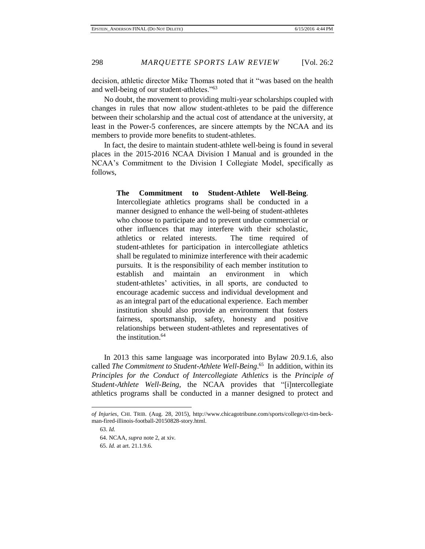decision, athletic director Mike Thomas noted that it "was based on the health and well-being of our student-athletes."<sup>63</sup>

No doubt, the movement to providing multi-year scholarships coupled with changes in rules that now allow student-athletes to be paid the difference between their scholarship and the actual cost of attendance at the university, at least in the Power-5 conferences, are sincere attempts by the NCAA and its members to provide more benefits to student-athletes.

In fact, the desire to maintain student-athlete well-being is found in several places in the 2015-2016 NCAA Division I Manual and is grounded in the NCAA's Commitment to the Division I Collegiate Model, specifically as follows,

> **The Commitment to Student-Athlete Well-Being**. Intercollegiate athletics programs shall be conducted in a manner designed to enhance the well-being of student-athletes who choose to participate and to prevent undue commercial or other influences that may interfere with their scholastic, athletics or related interests. The time required of student-athletes for participation in intercollegiate athletics shall be regulated to minimize interference with their academic pursuits. It is the responsibility of each member institution to establish and maintain an environment in which student-athletes' activities, in all sports, are conducted to encourage academic success and individual development and as an integral part of the educational experience. Each member institution should also provide an environment that fosters fairness, sportsmanship, safety, honesty and positive relationships between student-athletes and representatives of the institution.<sup>64</sup>

In 2013 this same language was incorporated into Bylaw 20.9.1.6, also called *The Commitment to Student-Athlete Well-Being*. 65 In addition, within its *Principles for the Conduct of Intercollegiate Athletics* is the *Principle of Student-Athlete Well-Being*, the NCAA provides that "[i]ntercollegiate athletics programs shall be conducted in a manner designed to protect and

*of Injuries*, CHI. TRIB. (Aug. 28, 2015), http://www.chicagotribune.com/sports/college/ct-tim-beckman-fired-illinois-football-20150828-story.html.

<sup>63.</sup> *Id.*

<sup>64.</sup> NCAA, *supra* note 2, at xiv.

<sup>65.</sup> *Id.* at art. 21.1.9.6.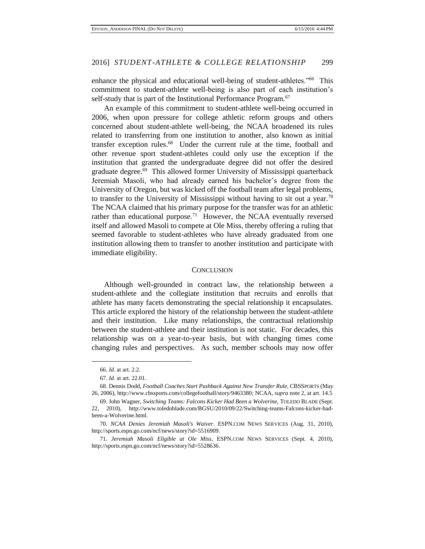enhance the physical and educational well-being of student-athletes."<sup>66</sup> This commitment to student-athlete well-being is also part of each institution's self-study that is part of the Institutional Performance Program.<sup>67</sup>

An example of this commitment to student-athlete well-being occurred in 2006, when upon pressure for college athletic reform groups and others concerned about student-athlete well-being, the NCAA broadened its rules related to transferring from one institution to another, also known as initial transfer exception rules.<sup>68</sup> Under the current rule at the time, football and other revenue sport student-athletes could only use the exception if the institution that granted the undergraduate degree did not offer the desired graduate degree.<sup>69</sup> This allowed former University of Mississippi quarterback Jeremiah Masoli, who had already earned his bachelor's degree from the University of Oregon, but was kicked off the football team after legal problems, to transfer to the University of Mississippi without having to sit out a year.<sup>70</sup> The NCAA claimed that his primary purpose for the transfer was for an athletic rather than educational purpose.<sup>71</sup> However, the NCAA eventually reversed itself and allowed Masoli to compete at Ole Miss, thereby offering a ruling that seemed favorable to student-athletes who have already graduated from one institution allowing them to transfer to another institution and participate with immediate eligibility.

#### **CONCLUSION**

Although well-grounded in contract law, the relationship between a student-athlete and the collegiate institution that recruits and enrolls that athlete has many facets demonstrating the special relationship it encapsulates. This article explored the history of the relationship between the student-athlete and their institution. Like many relationships, the contractual relationship between the student-athlete and their institution is not static. For decades, this relationship was on a year-to-year basis, but with changing times come changing rules and perspectives. As such, member schools may now offer

<sup>66.</sup> *Id.* at art. 2.2.

<sup>67.</sup> *Id.* at art. 22.01.

<sup>68.</sup> Dennis Dodd, *Football Coaches Start Pushback Against New Transfer Rule*, CBSSPORTS (May 26, 2006), [http://www.cbssports.com/collegefootball/story/9463380;](http://www.cbssports.com/collegefootball/story/9463380) NCAA, *supra* note 2, at art. 14.5

<sup>69.</sup> John Wagner, *Switching Teams: Falcons Kicker Had Been a Wolverine*, TOLEDO BLADE (Sept. 22, 2010), http://www.toledoblade.com/BGSU/2010/09/22/Switching-teams-Falcons-kicker-hadbeen-a-Wolverine.html.

<sup>70.</sup> *NCAA Denies Jeremiah Masoli's Waiver*. ESPN.COM NEWS SERVICES (Aug. 31, 2010), http://sports.espn.go.com/ncf/news/story?id=5516909.

<sup>71.</sup> *Jeremiah Masoli Eligible at Ole Miss,* ESPN.COM NEWS SERVICES (Sept. 4, 2010), http://sports.espn.go.com/ncf/news/story?id=5528636.